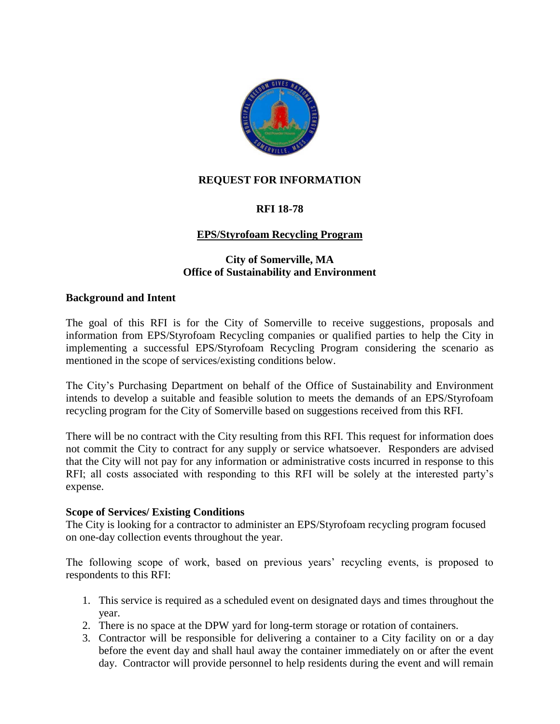

### **REQUEST FOR INFORMATION**

# **RFI 18-78**

# **EPS/Styrofoam Recycling Program**

# **City of Somerville, MA Office of Sustainability and Environment**

### **Background and Intent**

The goal of this RFI is for the City of Somerville to receive suggestions, proposals and information from EPS/Styrofoam Recycling companies or qualified parties to help the City in implementing a successful EPS/Styrofoam Recycling Program considering the scenario as mentioned in the scope of services/existing conditions below.

The City's Purchasing Department on behalf of the Office of Sustainability and Environment intends to develop a suitable and feasible solution to meets the demands of an EPS/Styrofoam recycling program for the City of Somerville based on suggestions received from this RFI.

There will be no contract with the City resulting from this RFI. This request for information does not commit the City to contract for any supply or service whatsoever. Responders are advised that the City will not pay for any information or administrative costs incurred in response to this RFI; all costs associated with responding to this RFI will be solely at the interested party's expense.

#### **Scope of Services/ Existing Conditions**

The City is looking for a contractor to administer an EPS/Styrofoam recycling program focused on one-day collection events throughout the year.

The following scope of work, based on previous years' recycling events, is proposed to respondents to this RFI:

- 1. This service is required as a scheduled event on designated days and times throughout the year.
- 2. There is no space at the DPW yard for long-term storage or rotation of containers.
- 3. Contractor will be responsible for delivering a container to a City facility on or a day before the event day and shall haul away the container immediately on or after the event day. Contractor will provide personnel to help residents during the event and will remain